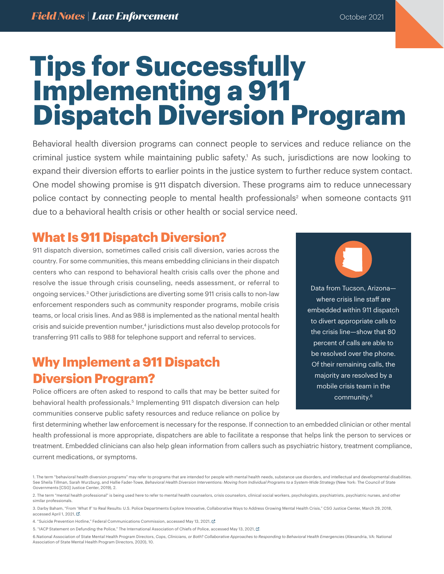# **Tips for Successfully Implementing a 911 Dispatch Diversion Program**

Behavioral health diversion programs can connect people to services and reduce reliance on the criminal justice system while maintaining public safety.1 As such, jurisdictions are now looking to expand their diversion efforts to earlier points in the justice system to further reduce system contact. One model showing promise is 911 dispatch diversion. These programs aim to reduce unnecessary police contact by connecting people to mental health professionals<sup>2</sup> when someone contacts 911 due to a behavioral health crisis or other health or social service need.

### **What Is 911 Dispatch Diversion?**

911 dispatch diversion, sometimes called crisis call diversion, varies across the country. For some communities, this means embedding clinicians in their dispatch centers who can respond to behavioral health crisis calls over the phone and resolve the issue through crisis counseling, needs assessment, or referral to ongoing services.3 Other jurisdictions are diverting some 911 crisis calls to non-law enforcement responders such as community responder programs, mobile crisis teams, or local crisis lines. And as 988 is implemented as the national mental health crisis and suicide prevention number,<sup>4</sup> jurisdictions must also develop protocols for transferring 911 calls to 988 for telephone support and referral to services.

# **Why Implement a 911 Dispatch Diversion Program?**

Police officers are often asked to respond to calls that may be better suited for behavioral health professionals.<sup>5</sup> Implementing 911 dispatch diversion can help communities conserve public safety resources and reduce reliance on police by

Data from Tucson, Arizona where crisis line staff are embedded within 911 dispatch to divert appropriate calls to the crisis line—show that 80 percent of calls are able to be resolved over the phone. Of their remaining calls, the majority are resolved by a mobile crisis team in the community.6

first determining whether law enforcement is necessary for the response. If connection to an embedded clinician or other mental health professional is more appropriate, dispatchers are able to facilitate a response that helps link the person to services or treatment. Embedded clinicians can also help glean information from callers such as psychiatric history, treatment compliance, current medications, or symptoms.

4. "Suicide Prevention Hotline," Federal Communications Commission, accessed May 13, 2021, L.

5. "IACP Statement on Defunding the Police," The International Association of Chiefs of Police, accessed May 13, 2021,  $\vec{C}$ .

6.National Association of State Mental Health Program Directors, *Cops, Clinicians, or Both? Collaborative Approaches to Responding to Behavioral Health Emergencies* (Alexandria, VA: National Association of State Mental Health Program Directors, 2020), 10.

<sup>1.</sup> The term "behavioral health diversion programs" may refer to programs that are intended for people with mental health needs, substance use disorders, and intellectual and developmental disabilities. See Sheila Tillman, Sarah Wurzburg, and Hallie Fader-Towe, *Behavioral Health Diversion Interventions: Moving from Individual Programs to a System-Wide Strategy* (New York: The Council of State Governments [CSG] Justice Center, 2019), 2.

<sup>2.</sup> The term "mental health professional" is being used here to refer to mental health counselors, crisis counselors, clinical social workers, psychologists, psychiatrists, psychiatric nurses, and other similar professionals.

<sup>3.</sup> Darby Baham, "From 'What If' to Real Results: U.S. Police Departments Explore Innovative, Collaborative Ways to Address Growing Mental Health Crisis," CSG Justice Center, March 29, 2018, accessed April 1, 2021,  $\mathbb{Z}$ ,